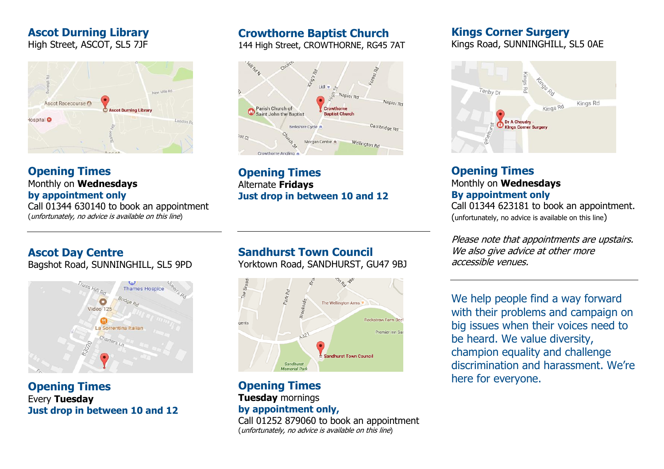# **Ascot Durning Library**

High Street, ASCOT, SL5 7JF



#### **Opening Times** Monthly on **Wednesdays by appointment only**

Call 01344 630140 to book an appointment (unfortunately, no advice is available on this line)

# **Crowthorne Baptist Church**

144 High Street, CROWTHORNE, RG45 7AT



**Opening Times** Alternate **Fridays Just drop in between 10 and 12**

## **Kings Corner Surgery**

Kings Road, SUNNINGHILL, SL5 0AE



# **Opening Times** Monthly on **Wednesdays By appointment only**

Call 01344 623181 to book an appointment. (unfortunately, no advice is available on this line)

Please note that appointments are upstairs. We also give advice at other more accessible venues.

We help people find a way forward with their problems and campaign on big issues when their voices need to be heard. We value diversity, champion equality and challenge discrimination and harassment. We're here for everyone.

# **Ascot Day Centre**

Bagshot Road, SUNNINGHILL, SL5 9PD



**Opening Times** Every **Tuesday Just drop in between 10 and 12**

# **Sandhurst Town Council**

Yorktown Road, SANDHURST, GU47 9BJ



**Opening Times Tuesday** mornings **by appointment only,** 

Call 01252 879060 to book an appointment (unfortunately, no advice is available on this line)